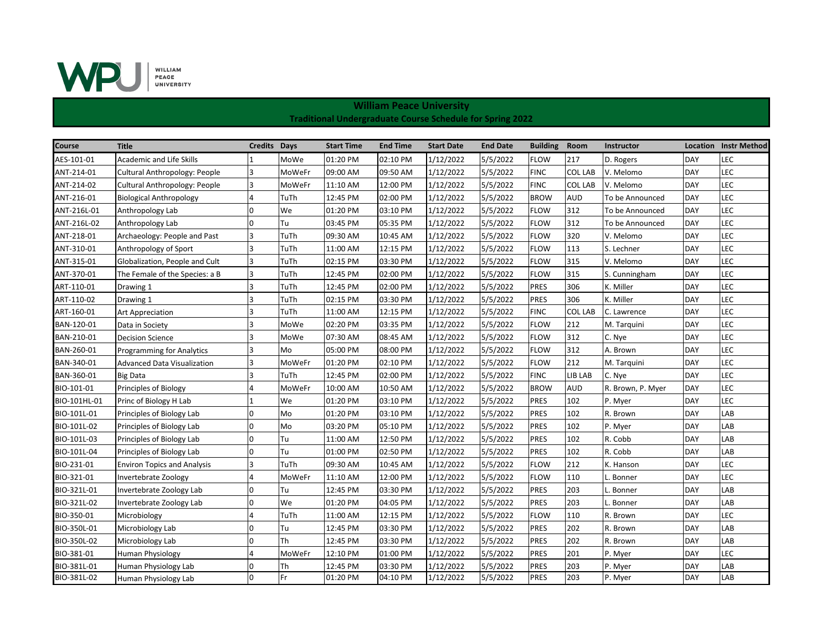

| Course       | <b>Title</b>                       | Credits Days |        | <b>Start Time</b> | <b>End Time</b> | <b>Start Date</b> | <b>End Date</b> | <b>Building</b> | Room           | Instructor        |            | <b>Location</b> Instr Method |
|--------------|------------------------------------|--------------|--------|-------------------|-----------------|-------------------|-----------------|-----------------|----------------|-------------------|------------|------------------------------|
| AES-101-01   | <b>Academic and Life Skills</b>    |              | MoWe   | 01:20 PM          | 02:10 PM        | 1/12/2022         | 5/5/2022        | <b>FLOW</b>     | 217            | D. Rogers         | <b>DAY</b> | LEC                          |
| ANT-214-01   | Cultural Anthropology: People      | 3            | MoWeFr | 09:00 AM          | 09:50 AM        | 1/12/2022         | 5/5/2022        | <b>FINC</b>     | <b>COL LAB</b> | V. Melomo         | DAY        | LEC                          |
| ANT-214-02   | Cultural Anthropology: People      | 3            | MoWeFr | 11:10 AM          | 12:00 PM        | 1/12/2022         | 5/5/2022        | <b>FINC</b>     | <b>COL LAB</b> | V. Melomo         | DAY        | LEC                          |
| ANT-216-01   | <b>Biological Anthropology</b>     | 4            | TuTh   | 12:45 PM          | 02:00 PM        | 1/12/2022         | 5/5/2022        | <b>BROW</b>     | <b>AUD</b>     | To be Announced   | DAY        | LEC                          |
| ANT-216L-01  | Anthropology Lab                   | 0            | We     | 01:20 PM          | 03:10 PM        | 1/12/2022         | 5/5/2022        | <b>FLOW</b>     | 312            | To be Announced   | DAY        | LEC                          |
| ANT-216L-02  | Anthropology Lab                   | $\Omega$     | Tu     | 03:45 PM          | 05:35 PM        | 1/12/2022         | 5/5/2022        | <b>FLOW</b>     | 312            | To be Announced   | DAY        | LEC                          |
| ANT-218-01   | Archaeology: People and Past       |              | TuTh   | 09:30 AM          | 10:45 AM        | 1/12/2022         | 5/5/2022        | <b>FLOW</b>     | 320            | V. Melomo         | DAY        | LEC                          |
| ANT-310-01   | Anthropology of Sport              | 3            | TuTh   | 11:00 AM          | 12:15 PM        | 1/12/2022         | 5/5/2022        | <b>FLOW</b>     | 113            | S. Lechner        | DAY        | LEC                          |
| ANT-315-01   | Globalization, People and Cult     | 3            | TuTh   | 02:15 PM          | 03:30 PM        | 1/12/2022         | 5/5/2022        | <b>FLOW</b>     | 315            | V. Melomo         | DAY        | LEC                          |
| ANT-370-01   | The Female of the Species: a B     | 3            | TuTh   | 12:45 PM          | 02:00 PM        | 1/12/2022         | 5/5/2022        | <b>FLOW</b>     | 315            | S. Cunningham     | DAY        | LEC                          |
| ART-110-01   | Drawing 1                          | 3            | TuTh   | 12:45 PM          | 02:00 PM        | 1/12/2022         | 5/5/2022        | <b>PRES</b>     | 306            | K. Miller         | DAY        | LEC                          |
| ART-110-02   | Drawing 1                          | 3            | TuTh   | 02:15 PM          | 03:30 PM        | 1/12/2022         | 5/5/2022        | <b>PRES</b>     | 306            | K. Miller         | DAY        | LEC                          |
| ART-160-01   | <b>Art Appreciation</b>            |              | TuTh   | 11:00 AM          | 12:15 PM        | 1/12/2022         | 5/5/2022        | <b>FINC</b>     | <b>COL LAB</b> | C. Lawrence       | DAY        | LEC                          |
| BAN-120-01   | Data in Society                    | 3            | MoWe   | 02:20 PM          | 03:35 PM        | 1/12/2022         | 5/5/2022        | <b>FLOW</b>     | 212            | M. Tarquini       | DAY        | LEC                          |
| BAN-210-01   | <b>Decision Science</b>            |              | MoWe   | 07:30 AM          | 08:45 AM        | 1/12/2022         | 5/5/2022        | <b>FLOW</b>     | 312            | C. Nye            | DAY        | LEC                          |
| BAN-260-01   | <b>Programming for Analytics</b>   |              | Mo     | 05:00 PM          | 08:00 PM        | 1/12/2022         | 5/5/2022        | <b>FLOW</b>     | 312            | A. Brown          | DAY        | LEC                          |
| BAN-340-01   | <b>Advanced Data Visualization</b> | 3            | MoWeFr | 01:20 PM          | 02:10 PM        | 1/12/2022         | 5/5/2022        | <b>FLOW</b>     | 212            | M. Tarquini       | DAY        | LEC                          |
| BAN-360-01   | Big Data                           | 3            | TuTh   | 12:45 PM          | 02:00 PM        | 1/12/2022         | 5/5/2022        | <b>FINC</b>     | LIB LAB        | C. Nye            | DAY        | LEC                          |
| BIO-101-01   | Principles of Biology              | 4            | MoWeFr | 10:00 AM          | 10:50 AM        | 1/12/2022         | 5/5/2022        | <b>BROW</b>     | <b>AUD</b>     | R. Brown, P. Myer | DAY        | LEC                          |
| BIO-101HL-01 | Princ of Biology H Lab             |              | We     | 01:20 PM          | 03:10 PM        | 1/12/2022         | 5/5/2022        | <b>PRES</b>     | 102            | P. Myer           | DAY        | LEC                          |
| BIO-101L-01  | Principles of Biology Lab          | 0            | Mo     | 01:20 PM          | 03:10 PM        | 1/12/2022         | 5/5/2022        | <b>PRES</b>     | 102            | R. Brown          | DAY        | LAB                          |
| BIO-101L-02  | Principles of Biology Lab          | <sup>0</sup> | Mo     | 03:20 PM          | 05:10 PM        | 1/12/2022         | 5/5/2022        | <b>PRES</b>     | 102            | P. Myer           | DAY        | LAB                          |
| BIO-101L-03  | Principles of Biology Lab          |              | Tu     | 11:00 AM          | 12:50 PM        | 1/12/2022         | 5/5/2022        | <b>PRES</b>     | 102            | R. Cobb           | DAY        | LAB                          |
| BIO-101L-04  | Principles of Biology Lab          |              | Tu     | 01:00 PM          | 02:50 PM        | 1/12/2022         | 5/5/2022        | <b>PRES</b>     | 102            | R. Cobb           | DAY        | LAB                          |
| BIO-231-01   | <b>Environ Topics and Analysis</b> | 3            | TuTh   | 09:30 AM          | 10:45 AM        | 1/12/2022         | 5/5/2022        | <b>FLOW</b>     | 212            | K. Hanson         | DAY        | LEC                          |
| BIO-321-01   | Invertebrate Zoology               |              | MoWeFr | 11:10 AM          | 12:00 PM        | 1/12/2022         | 5/5/2022        | <b>FLOW</b>     | 110            | L. Bonner         | <b>DAY</b> | LEC                          |
| BIO-321L-01  | Invertebrate Zoology Lab           | <sup>n</sup> | Tu     | 12:45 PM          | 03:30 PM        | 1/12/2022         | 5/5/2022        | <b>PRES</b>     | 203            | L. Bonner         | DAY        | LAB                          |
| BIO-321L-02  | Invertebrate Zoology Lab           | $\Omega$     | We     | 01:20 PM          | 04:05 PM        | 1/12/2022         | 5/5/2022        | <b>PRES</b>     | 203            | L. Bonner         | DAY        | LAB                          |
| BIO-350-01   | Microbiology                       |              | TuTh   | 11:00 AM          | 12:15 PM        | 1/12/2022         | 5/5/2022        | <b>FLOW</b>     | 110            | R. Brown          | DAY        | LEC                          |
| BIO-350L-01  | Microbiology Lab                   | 0            | Tu     | 12:45 PM          | 03:30 PM        | 1/12/2022         | 5/5/2022        | <b>PRES</b>     | 202            | R. Brown          | DAY        | LAB                          |
| BIO-350L-02  | Microbiology Lab                   | U            | Th     | 12:45 PM          | 03:30 PM        | 1/12/2022         | 5/5/2022        | <b>PRES</b>     | 202            | R. Brown          | DAY        | LAB                          |
| BIO-381-01   | Human Physiology                   |              | MoWeFr | 12:10 PM          | 01:00 PM        | 1/12/2022         | 5/5/2022        | <b>PRES</b>     | 201            | P. Myer           | DAY        | LEC                          |
| BIO-381L-01  | Human Physiology Lab               | 0            | Th     | 12:45 PM          | 03:30 PM        | 1/12/2022         | 5/5/2022        | <b>PRES</b>     | 203            | P. Myer           | DAY        | LAB                          |
| BIO-381L-02  | Human Physiology Lab               |              | Fr     | 01:20 PM          | 04:10 PM        | 1/12/2022         | 5/5/2022        | <b>PRES</b>     | 203            | P. Myer           | DAY        | LAB                          |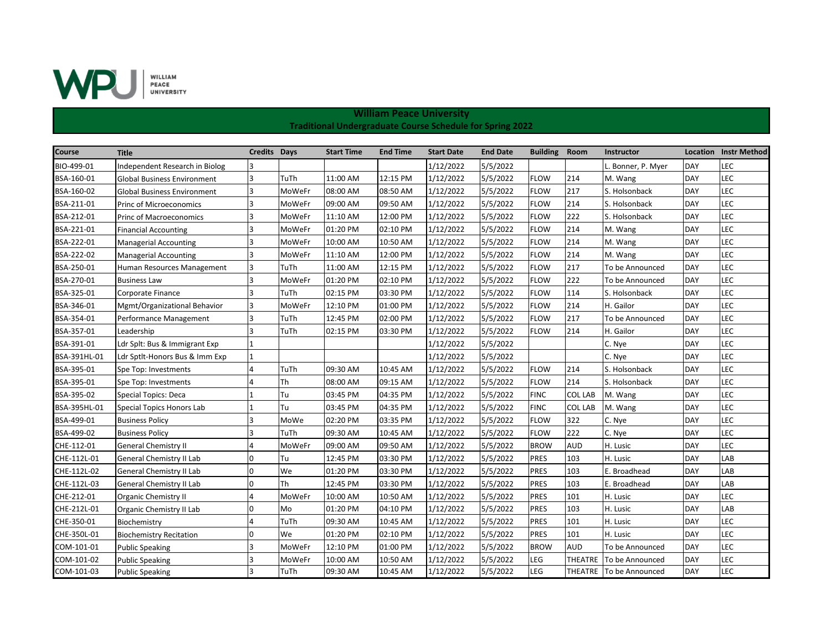

| Course       | <b>Title</b>                       | <b>Credits Days</b> |        | <b>Start Time</b> | <b>End Time</b> | <b>Start Date</b> | <b>End Date</b> | <b>Building</b> | Room           | <b>Instructor</b>         |            | <b>Location</b> Instr Method |
|--------------|------------------------------------|---------------------|--------|-------------------|-----------------|-------------------|-----------------|-----------------|----------------|---------------------------|------------|------------------------------|
| BIO-499-01   | Independent Research in Biolog     | 3                   |        |                   |                 | 1/12/2022         | 5/5/2022        |                 |                | . Bonner, P. Myer         | DAY        | LEC                          |
| BSA-160-01   | <b>Global Business Environment</b> | 3                   | TuTh   | 11:00 AM          | 12:15 PM        | 1/12/2022         | 5/5/2022        | <b>FLOW</b>     | 214            | M. Wang                   | DAY        | LEC                          |
| BSA-160-02   | <b>Global Business Environment</b> | 3                   | MoWeFr | 08:00 AM          | 08:50 AM        | 1/12/2022         | 5/5/2022        | <b>FLOW</b>     | 217            | S. Holsonback             | DAY        | LEC                          |
| BSA-211-01   | Princ of Microeconomics            | 3                   | MoWeFr | 09:00 AM          | 09:50 AM        | 1/12/2022         | 5/5/2022        | <b>FLOW</b>     | 214            | S. Holsonback             | <b>DAY</b> | LEC                          |
| BSA-212-01   | <b>Princ of Macroeconomics</b>     | 3                   | MoWeFr | 11:10 AM          | 12:00 PM        | 1/12/2022         | 5/5/2022        | <b>FLOW</b>     | 222            | S. Holsonback             | <b>DAY</b> | LEC                          |
| BSA-221-01   | <b>Financial Accounting</b>        | 3                   | MoWeFr | 01:20 PM          | 02:10 PM        | 1/12/2022         | 5/5/2022        | <b>FLOW</b>     | 214            | M. Wang                   | DAY        | LEC                          |
| BSA-222-01   | <b>Managerial Accounting</b>       | 3                   | MoWeFr | 10:00 AM          | 10:50 AM        | 1/12/2022         | 5/5/2022        | <b>FLOW</b>     | 214            | M. Wang                   | <b>DAY</b> | LEC                          |
| BSA-222-02   | <b>Managerial Accounting</b>       | 3                   | MoWeFr | 11:10 AM          | 12:00 PM        | 1/12/2022         | 5/5/2022        | <b>FLOW</b>     | 214            | M. Wang                   | DAY        | LEC                          |
| BSA-250-01   | Human Resources Management         | 3                   | TuTh   | 11:00 AM          | 12:15 PM        | 1/12/2022         | 5/5/2022        | <b>FLOW</b>     | 217            | To be Announced           | <b>DAY</b> | LEC                          |
| BSA-270-01   | <b>Business Law</b>                | 3                   | MoWeFr | 01:20 PM          | 02:10 PM        | 1/12/2022         | 5/5/2022        | <b>FLOW</b>     | 222            | <b>To be Announced</b>    | <b>DAY</b> | LEC                          |
| BSA-325-01   | Corporate Finance                  | 3                   | TuTh   | 02:15 PM          | 03:30 PM        | 1/12/2022         | 5/5/2022        | <b>FLOW</b>     | 114            | S. Holsonback             | <b>DAY</b> | LEC                          |
| BSA-346-01   | Mgmt/Organizational Behavior       | 3                   | MoWeFr | 12:10 PM          | 01:00 PM        | 1/12/2022         | 5/5/2022        | <b>FLOW</b>     | 214            | H. Gailor                 | DAY        | LEC                          |
| BSA-354-01   | Performance Management             | 3                   | TuTh   | 12:45 PM          | 02:00 PM        | 1/12/2022         | 5/5/2022        | <b>FLOW</b>     | 217            | To be Announced           | <b>DAY</b> | LEC                          |
| BSA-357-01   | Leadership                         | 3                   | TuTh   | 02:15 PM          | 03:30 PM        | 1/12/2022         | 5/5/2022        | <b>FLOW</b>     | 214            | H. Gailor                 | <b>DAY</b> | LEC                          |
| BSA-391-01   | Ldr Splt: Bus & Immigrant Exp      |                     |        |                   |                 | 1/12/2022         | 5/5/2022        |                 |                | C. Nye                    | <b>DAY</b> | LEC                          |
| BSA-391HL-01 | Ldr Sptlt-Honors Bus & Imm Exp     |                     |        |                   |                 | 1/12/2022         | 5/5/2022        |                 |                | C. Nye                    | <b>DAY</b> | LEC                          |
| BSA-395-01   | Spe Top: Investments               | 4                   | TuTh   | 09:30 AM          | 10:45 AM        | 1/12/2022         | 5/5/2022        | <b>FLOW</b>     | 214            | S. Holsonback             | DAY        | LEC                          |
| BSA-395-01   | Spe Top: Investments               | Δ                   | Th     | 08:00 AM          | 09:15 AM        | 1/12/2022         | 5/5/2022        | <b>FLOW</b>     | 214            | S. Holsonback             | DAY        | LEC                          |
| BSA-395-02   | Special Topics: Deca               |                     | Tu     | 03:45 PM          | 04:35 PM        | 1/12/2022         | 5/5/2022        | <b>FINC</b>     | <b>COL LAB</b> | M. Wang                   | DAY        | LEC                          |
| BSA-395HL-01 | Special Topics Honors Lab          |                     | Tu     | 03:45 PM          | 04:35 PM        | 1/12/2022         | 5/5/2022        | <b>FINC</b>     | <b>COL LAB</b> | M. Wang                   | <b>DAY</b> | LEC                          |
| BSA-499-01   | <b>Business Policy</b>             | 3                   | MoWe   | 02:20 PM          | 03:35 PM        | 1/12/2022         | 5/5/2022        | <b>FLOW</b>     | 322            | C. Nye                    | <b>DAY</b> | LEC                          |
| BSA-499-02   | <b>Business Policy</b>             | 3                   | TuTh   | 09:30 AM          | 10:45 AM        | 1/12/2022         | 5/5/2022        | <b>FLOW</b>     | 222            | C. Nye                    | DAY        | LEC                          |
| CHE-112-01   | General Chemistry II               |                     | MoWeFr | 09:00 AM          | 09:50 AM        | 1/12/2022         | 5/5/2022        | <b>BROW</b>     | <b>AUD</b>     | H. Lusic                  | <b>DAY</b> | LEC                          |
| CHE-112L-01  | General Chemistry II Lab           | $\Omega$            | Tu     | 12:45 PM          | 03:30 PM        | 1/12/2022         | 5/5/2022        | <b>PRES</b>     | 103            | H. Lusic                  | <b>DAY</b> | LAB                          |
| CHE-112L-02  | General Chemistry II Lab           | <sup>0</sup>        | We     | 01:20 PM          | 03:30 PM        | 1/12/2022         | 5/5/2022        | <b>PRES</b>     | 103            | E. Broadhead              | DAY        | LAB                          |
| CHE-112L-03  | General Chemistry II Lab           | 0                   | Th     | 12:45 PM          | 03:30 PM        | 1/12/2022         | 5/5/2022        | <b>PRES</b>     | 103            | E. Broadhead              | <b>DAY</b> | LAB                          |
| CHE-212-01   | <b>Organic Chemistry II</b>        | 4                   | MoWeFr | 10:00 AM          | 10:50 AM        | 1/12/2022         | 5/5/2022        | <b>PRES</b>     | 101            | H. Lusic                  | <b>DAY</b> | LEC                          |
| CHE-212L-01  | Organic Chemistry II Lab           | $\Omega$            | Mo     | 01:20 PM          | 04:10 PM        | 1/12/2022         | 5/5/2022        | <b>PRES</b>     | 103            | H. Lusic                  | <b>DAY</b> | LAB                          |
| CHE-350-01   | Biochemistry                       | 4                   | TuTh   | 09:30 AM          | 10:45 AM        | 1/12/2022         | 5/5/2022        | <b>PRES</b>     | 101            | H. Lusic                  | DAY        | LEC                          |
| CHE-350L-01  | <b>Biochemistry Recitation</b>     | 0                   | We     | 01:20 PM          | 02:10 PM        | 1/12/2022         | 5/5/2022        | <b>PRES</b>     | 101            | H. Lusic                  | <b>DAY</b> | LEC                          |
| COM-101-01   | <b>Public Speaking</b>             | 3                   | MoWeFr | 12:10 PM          | 01:00 PM        | 1/12/2022         | 5/5/2022        | <b>BROW</b>     | <b>AUD</b>     | To be Announced           | <b>DAY</b> | LEC                          |
| COM-101-02   | <b>Public Speaking</b>             | 3                   | MoWeFr | 10:00 AM          | 10:50 AM        | 1/12/2022         | 5/5/2022        | LEG             | <b>THEATRE</b> | To be Announced           | <b>DAY</b> | LEC                          |
| COM-101-03   | <b>Public Speaking</b>             | 3                   | TuTh   | 09:30 AM          | 10:45 AM        | 1/12/2022         | 5/5/2022        | LEG             |                | THEATRE   To be Announced | <b>DAY</b> | LEC                          |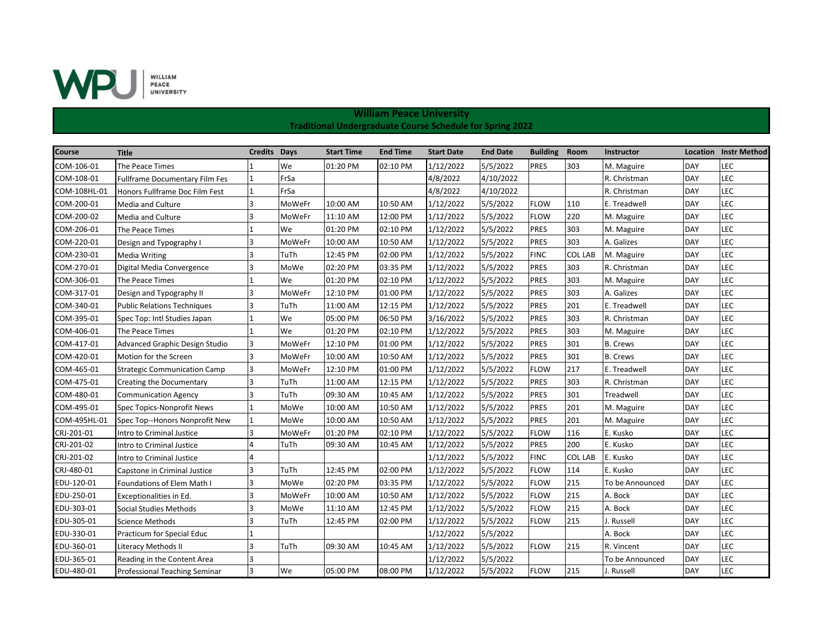

| <b>Course</b> | <b>Title</b>                          | <b>Credits Days</b> |        | <b>Start Time</b> | <b>End Time</b> | <b>Start Date</b> | <b>End Date</b> | <b>Building</b> | Room           | Instructor      |            | <b>Location Instr Method</b> |
|---------------|---------------------------------------|---------------------|--------|-------------------|-----------------|-------------------|-----------------|-----------------|----------------|-----------------|------------|------------------------------|
| COM-106-01    | The Peace Times                       |                     | We     | 01:20 PM          | 02:10 PM        | 1/12/2022         | 5/5/2022        | <b>PRES</b>     | 303            | M. Maguire      | DAY        | LEC                          |
| COM-108-01    | <b>Fullframe Documentary Film Fes</b> |                     | FrSa   |                   |                 | 4/8/2022          | 4/10/2022       |                 |                | R. Christman    | <b>DAY</b> | LEC                          |
| COM-108HL-01  | Honors Fullframe Doc Film Fest        |                     | FrSa   |                   |                 | 4/8/2022          | 4/10/2022       |                 |                | R. Christman    | <b>DAY</b> | LEC                          |
| COM-200-01    | Media and Culture                     |                     | MoWeFr | 10:00 AM          | 10:50 AM        | 1/12/2022         | 5/5/2022        | <b>FLOW</b>     | 110            | E. Treadwell    | <b>DAY</b> | LEC                          |
| COM-200-02    | <b>Media and Culture</b>              |                     | MoWeFr | 11:10 AM          | 12:00 PM        | 1/12/2022         | 5/5/2022        | <b>FLOW</b>     | 220            | M. Maguire      | <b>DAY</b> | LEC                          |
| COM-206-01    | The Peace Times                       |                     | We     | 01:20 PM          | 02:10 PM        | 1/12/2022         | 5/5/2022        | <b>PRES</b>     | 303            | M. Maguire      | <b>DAY</b> | LEC                          |
| COM-220-01    | Design and Typography I               |                     | MoWeFr | 10:00 AM          | 10:50 AM        | 1/12/2022         | 5/5/2022        | <b>PRES</b>     | 303            | A. Galizes      | DAY        | LEC                          |
| COM-230-01    | Media Writing                         |                     | TuTh   | 12:45 PM          | 02:00 PM        | 1/12/2022         | 5/5/2022        | <b>FINC</b>     | <b>COL LAB</b> | M. Maguire      | DAY        | LEC                          |
| COM-270-01    | Digital Media Convergence             |                     | MoWe   | 02:20 PM          | 03:35 PM        | 1/12/2022         | 5/5/2022        | <b>PRES</b>     | 303            | R. Christman    | <b>DAY</b> | LEC                          |
| COM-306-01    | The Peace Times                       |                     | We     | 01:20 PM          | 02:10 PM        | 1/12/2022         | 5/5/2022        | <b>PRES</b>     | 303            | M. Maguire      | <b>DAY</b> | LEC                          |
| COM-317-01    | Design and Typography II              |                     | MoWeFr | 12:10 PM          | 01:00 PM        | 1/12/2022         | 5/5/2022        | <b>PRES</b>     | 303            | A. Galizes      | DAY        | LEC                          |
| COM-340-01    | <b>Public Relations Techniques</b>    |                     | TuTh   | 11:00 AM          | 12:15 PM        | 1/12/2022         | 5/5/2022        | <b>PRES</b>     | 201            | E. Treadwell    | <b>DAY</b> | LEC                          |
| COM-395-01    | Spec Top: Intl Studies Japan          |                     | We     | 05:00 PM          | 06:50 PM        | 3/16/2022         | 5/5/2022        | <b>PRES</b>     | 303            | R. Christman    | <b>DAY</b> | LEC                          |
| COM-406-01    | The Peace Times                       |                     | We     | 01:20 PM          | 02:10 PM        | 1/12/2022         | 5/5/2022        | <b>PRES</b>     | 303            | M. Maguire      | <b>DAY</b> | LEC                          |
| COM-417-01    | Advanced Graphic Design Studio        |                     | MoWeFr | 12:10 PM          | 01:00 PM        | 1/12/2022         | 5/5/2022        | <b>PRES</b>     | 301            | <b>B.</b> Crews | <b>DAY</b> | LEC                          |
| COM-420-01    | Motion for the Screen                 | R.                  | MoWeFr | 10:00 AM          | 10:50 AM        | 1/12/2022         | 5/5/2022        | <b>PRES</b>     | 301            | <b>B.</b> Crews | <b>DAY</b> | LEC                          |
| COM-465-01    | <b>Strategic Communication Camp</b>   |                     | MoWeFr | 12:10 PM          | 01:00 PM        | 1/12/2022         | 5/5/2022        | <b>FLOW</b>     | 217            | E. Treadwell    | <b>DAY</b> | LEC                          |
| COM-475-01    | <b>Creating the Documentary</b>       |                     | TuTh   | 11:00 AM          | 12:15 PM        | 1/12/2022         | 5/5/2022        | <b>PRES</b>     | 303            | R. Christman    | <b>DAY</b> | LEC                          |
| COM-480-01    | <b>Communication Agency</b>           |                     | TuTh   | 09:30 AM          | 10:45 AM        | 1/12/2022         | 5/5/2022        | <b>PRES</b>     | 301            | Treadwell       | <b>DAY</b> | LEC                          |
| COM-495-01    | Spec Topics-Nonprofit News            |                     | MoWe   | 10:00 AM          | 10:50 AM        | 1/12/2022         | 5/5/2022        | <b>PRES</b>     | 201            | M. Maguire      | <b>DAY</b> | LEC                          |
| COM-495HL-01  | Spec Top--Honors Nonprofit New        |                     | MoWe   | 10:00 AM          | 10:50 AM        | 1/12/2022         | 5/5/2022        | <b>PRES</b>     | 201            | M. Maguire      | <b>DAY</b> | LEC                          |
| CRJ-201-01    | Intro to Criminal Justice             |                     | MoWeFr | 01:20 PM          | 02:10 PM        | 1/12/2022         | 5/5/2022        | <b>FLOW</b>     | 116            | E. Kusko        | <b>DAY</b> | LEC                          |
| CRJ-201-02    | Intro to Criminal Justice             |                     | TuTh   | 09:30 AM          | 10:45 AM        | 1/12/2022         | 5/5/2022        | <b>PRES</b>     | 200            | E. Kusko        | DAY        | LEC                          |
| CRJ-201-02    | Intro to Criminal Justice             |                     |        |                   |                 | 1/12/2022         | 5/5/2022        | <b>FINC</b>     | <b>COL LAB</b> | E. Kusko        | <b>DAY</b> | LEC                          |
| CRJ-480-01    | Capstone in Criminal Justice          |                     | TuTh   | 12:45 PM          | 02:00 PM        | 1/12/2022         | 5/5/2022        | <b>FLOW</b>     | 114            | E. Kusko        | <b>DAY</b> | LEC                          |
| EDU-120-01    | Foundations of Elem Math I            |                     | MoWe   | 02:20 PM          | 03:35 PM        | 1/12/2022         | 5/5/2022        | <b>FLOW</b>     | 215            | To be Announced | <b>DAY</b> | LEC                          |
| EDU-250-01    | Exceptionalities in Ed.               | R                   | MoWeFr | 10:00 AM          | 10:50 AM        | 1/12/2022         | 5/5/2022        | <b>FLOW</b>     | 215            | A. Bock         | <b>DAY</b> | LEC                          |
| EDU-303-01    | Social Studies Methods                |                     | MoWe   | 11:10 AM          | 12:45 PM        | 1/12/2022         | 5/5/2022        | <b>FLOW</b>     | 215            | A. Bock         | DAY        | LEC                          |
| EDU-305-01    | <b>Science Methods</b>                |                     | TuTh   | 12:45 PM          | 02:00 PM        | 1/12/2022         | 5/5/2022        | <b>FLOW</b>     | 215            | J. Russell      | <b>DAY</b> | LEC                          |
| EDU-330-01    | Practicum for Special Educ            |                     |        |                   |                 | 1/12/2022         | 5/5/2022        |                 |                | A. Bock         | <b>DAY</b> | LEC                          |
| EDU-360-01    | Literacy Methods II                   |                     | TuTh   | 09:30 AM          | 10:45 AM        | 1/12/2022         | 5/5/2022        | <b>FLOW</b>     | 215            | R. Vincent      | <b>DAY</b> | LEC                          |
| EDU-365-01    | Reading in the Content Area           |                     |        |                   |                 | 1/12/2022         | 5/5/2022        |                 |                | To be Announced | <b>DAY</b> | LEC                          |
| EDU-480-01    | Professional Teaching Seminar         |                     | We     | 05:00 PM          | 08:00 PM        | 1/12/2022         | 5/5/2022        | <b>FLOW</b>     | 215            | J. Russell      | <b>DAY</b> | LEC                          |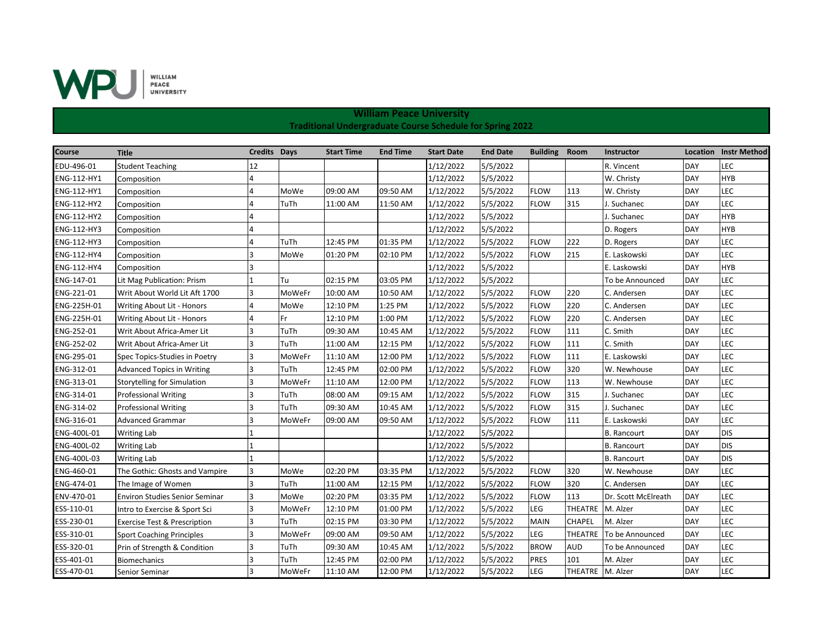

| <b>Course</b> | <b>Title</b>                            | <b>Credits Days</b> |        | <b>Start Time</b> | <b>End Time</b> | <b>Start Date</b> | <b>End Date</b> | <b>Building Room</b> |                  | <b>Instructor</b>      |            | <b>Location</b> Instr Method |
|---------------|-----------------------------------------|---------------------|--------|-------------------|-----------------|-------------------|-----------------|----------------------|------------------|------------------------|------------|------------------------------|
| EDU-496-01    | <b>Student Teaching</b>                 | 12                  |        |                   |                 | 1/12/2022         | 5/5/2022        |                      |                  | R. Vincent             | DAY        | LEC                          |
| ENG-112-HY1   | Composition                             |                     |        |                   |                 | 1/12/2022         | 5/5/2022        |                      |                  | W. Christy             | DAY        | <b>HYB</b>                   |
| ENG-112-HY1   | Composition                             | 4                   | MoWe   | 09:00 AM          | 09:50 AM        | 1/12/2022         | 5/5/2022        | <b>FLOW</b>          | 113              | W. Christy             | <b>DAY</b> | LEC                          |
| ENG-112-HY2   | Composition                             |                     | TuTh   | 11:00 AM          | 11:50 AM        | 1/12/2022         | 5/5/2022        | <b>FLOW</b>          | 315              | . Suchanec             | <b>DAY</b> | LEC                          |
| ENG-112-HY2   | Composition                             | 4                   |        |                   |                 | 1/12/2022         | 5/5/2022        |                      |                  | J. Suchanec            | <b>DAY</b> | <b>HYB</b>                   |
| ENG-112-HY3   | Composition                             | $\Delta$            |        |                   |                 | 1/12/2022         | 5/5/2022        |                      |                  | D. Rogers              | <b>DAY</b> | <b>HYB</b>                   |
| ENG-112-HY3   | Composition                             |                     | TuTh   | 12:45 PM          | 01:35 PM        | 1/12/2022         | 5/5/2022        | <b>FLOW</b>          | 222              | D. Rogers              | <b>DAY</b> | LEC                          |
| ENG-112-HY4   | Composition                             | 3                   | MoWe   | 01:20 PM          | 02:10 PM        | 1/12/2022         | 5/5/2022        | <b>FLOW</b>          | 215              | E. Laskowski           | <b>DAY</b> | LEC                          |
| ENG-112-HY4   | Composition                             | $\overline{3}$      |        |                   |                 | 1/12/2022         | 5/5/2022        |                      |                  | E. Laskowski           | DAY        | <b>HYB</b>                   |
| ENG-147-01    | Lit Mag Publication: Prism              |                     | Tu     | 02:15 PM          | 03:05 PM        | 1/12/2022         | 5/5/2022        |                      |                  | <b>To be Announced</b> | <b>DAY</b> | LEC                          |
| ENG-221-01    | Writ About World Lit Aft 1700           | 3                   | MoWeFr | 10:00 AM          | 10:50 AM        | 1/12/2022         | 5/5/2022        | <b>FLOW</b>          | 220              | C. Andersen            | <b>DAY</b> | LEC                          |
| ENG-225H-01   | Writing About Lit - Honors              | 4                   | MoWe   | 12:10 PM          | 1:25 PM         | 1/12/2022         | 5/5/2022        | <b>FLOW</b>          | 220              | C. Andersen            | DAY        | LEC                          |
| ENG-225H-01   | Writing About Lit - Honors              | 4                   | Fr     | 12:10 PM          | 1:00 PM         | 1/12/2022         | 5/5/2022        | <b>FLOW</b>          | 220              | C. Andersen            | <b>DAY</b> | LEC                          |
| ENG-252-01    | Writ About Africa-Amer Lit              | $\overline{3}$      | TuTh   | 09:30 AM          | 10:45 AM        | 1/12/2022         | 5/5/2022        | <b>FLOW</b>          | 111              | C. Smith               | <b>DAY</b> | LEC                          |
| ENG-252-02    | Writ About Africa-Amer Lit              | 3                   | TuTh   | 11:00 AM          | 12:15 PM        | 1/12/2022         | 5/5/2022        | <b>FLOW</b>          | 111              | C. Smith               | <b>DAY</b> | LEC                          |
| ENG-295-01    | Spec Topics-Studies in Poetry           | Ι3                  | MoWeFr | 11:10 AM          | 12:00 PM        | 1/12/2022         | 5/5/2022        | <b>FLOW</b>          | 111              | E. Laskowski           | <b>DAY</b> | LEC                          |
| ENG-312-01    | <b>Advanced Topics in Writing</b>       | 3                   | TuTh   | 12:45 PM          | 02:00 PM        | 1/12/2022         | 5/5/2022        | <b>FLOW</b>          | 320              | W. Newhouse            | <b>DAY</b> | LEC                          |
| ENG-313-01    | Storytelling for Simulation             | 3                   | MoWeFr | 11:10 AM          | 12:00 PM        | 1/12/2022         | 5/5/2022        | <b>FLOW</b>          | 113              | W. Newhouse            | <b>DAY</b> | LEC                          |
| ENG-314-01    | <b>Professional Writing</b>             | 3                   | TuTh   | 08:00 AM          | 09:15 AM        | 1/12/2022         | 5/5/2022        | <b>FLOW</b>          | 315              | J. Suchanec            | <b>DAY</b> | LEC                          |
| ENG-314-02    | <b>Professional Writing</b>             | 3                   | TuTh   | 09:30 AM          | 10:45 AM        | 1/12/2022         | 5/5/2022        | <b>FLOW</b>          | 315              | J. Suchanec            | <b>DAY</b> | LEC                          |
| ENG-316-01    | <b>Advanced Grammar</b>                 | 3                   | MoWeFr | 09:00 AM          | 09:50 AM        | 1/12/2022         | 5/5/2022        | <b>FLOW</b>          | 111              | E. Laskowski           | <b>DAY</b> | LEC                          |
| ENG-400L-01   | Writing Lab                             |                     |        |                   |                 | 1/12/2022         | 5/5/2022        |                      |                  | <b>B.</b> Rancourt     | <b>DAY</b> | <b>DIS</b>                   |
| ENG-400L-02   | <b>Writing Lab</b>                      |                     |        |                   |                 | 1/12/2022         | 5/5/2022        |                      |                  | <b>B.</b> Rancourt     | <b>DAY</b> | <b>DIS</b>                   |
| ENG-400L-03   | <b>Writing Lab</b>                      |                     |        |                   |                 | 1/12/2022         | 5/5/2022        |                      |                  | <b>B.</b> Rancourt     | <b>DAY</b> | <b>DIS</b>                   |
| ENG-460-01    | The Gothic: Ghosts and Vampire          | 3                   | MoWe   | 02:20 PM          | 03:35 PM        | 1/12/2022         | 5/5/2022        | <b>FLOW</b>          | 320              | W. Newhouse            | <b>DAY</b> | LEC                          |
| ENG-474-01    | The Image of Women                      | l3                  | TuTh   | 11:00 AM          | 12:15 PM        | 1/12/2022         | 5/5/2022        | <b>FLOW</b>          | 320              | C. Andersen            | DAY        | LEC                          |
| ENV-470-01    | <b>Environ Studies Senior Seminar</b>   | 3                   | MoWe   | 02:20 PM          | 03:35 PM        | 1/12/2022         | 5/5/2022        | <b>FLOW</b>          | 113              | Dr. Scott McElreath    | <b>DAY</b> | LEC                          |
| ESS-110-01    | Intro to Exercise & Sport Sci           | 3                   | MoWeFr | 12:10 PM          | 01:00 PM        | 1/12/2022         | 5/5/2022        | <b>LEG</b>           | THEATRE M. Alzer |                        | <b>DAY</b> | LEC                          |
| ESS-230-01    | <b>Exercise Test &amp; Prescription</b> | 3                   | TuTh   | 02:15 PM          | 03:30 PM        | 1/12/2022         | 5/5/2022        | <b>MAIN</b>          | <b>CHAPEL</b>    | M. Alzer               | <b>DAY</b> | LEC                          |
| ESS-310-01    | <b>Sport Coaching Principles</b>        | 3                   | MoWeFr | 09:00 AM          | 09:50 AM        | 1/12/2022         | 5/5/2022        | LEG                  | THEATRE          | To be Announced        | <b>DAY</b> | LEC                          |
| ESS-320-01    | Prin of Strength & Condition            | 3                   | TuTh   | 09:30 AM          | 10:45 AM        | 1/12/2022         | 5/5/2022        | <b>BROW</b>          | <b>AUD</b>       | To be Announced        | <b>DAY</b> | LEC                          |
| ESS-401-01    | Biomechanics                            | 3                   | TuTh   | 12:45 PM          | 02:00 PM        | 1/12/2022         | 5/5/2022        | <b>PRES</b>          | 101              | M. Alzer               | <b>DAY</b> | LEC                          |
| ESS-470-01    | Senior Seminar                          | lз                  | MoWeFr | 11:10 AM          | 12:00 PM        | 1/12/2022         | 5/5/2022        | <b>LEG</b>           | THEATRE M. Alzer |                        | <b>DAY</b> | LEC                          |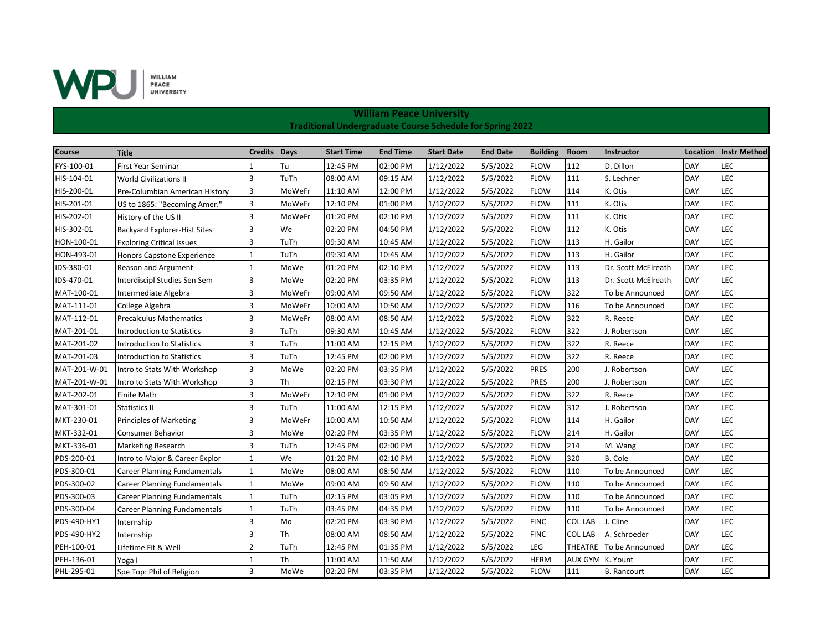

| <b>Course</b> | <b>Title</b>                        | <b>Credits Days</b> |           | <b>Start Time</b> | <b>End Time</b> | <b>Start Date</b> | <b>End Date</b> | <b>Building</b> | Room             | <b>Instructor</b>   | Location   | <b>Instr Method</b> |
|---------------|-------------------------------------|---------------------|-----------|-------------------|-----------------|-------------------|-----------------|-----------------|------------------|---------------------|------------|---------------------|
| FYS-100-01    | First Year Seminar                  |                     | Tu        | 12:45 PM          | 02:00 PM        | 1/12/2022         | 5/5/2022        | <b>FLOW</b>     | 112              | D. Dillon           | DAY        | LEC                 |
| HIS-104-01    | World Civilizations II              | l3                  | TuTh      | 08:00 AM          | 09:15 AM        | 1/12/2022         | 5/5/2022        | <b>FLOW</b>     | 111              | S. Lechner          | <b>DAY</b> | LEC                 |
| HIS-200-01    | Pre-Columbian American History      | 3                   | MoWeFr    | 11:10 AM          | 12:00 PM        | 1/12/2022         | 5/5/2022        | <b>FLOW</b>     | 114              | K. Otis             | <b>DAY</b> | LEC                 |
| HIS-201-01    | US to 1865: "Becoming Amer."        | 3                   | MoWeFr    | 12:10 PM          | 01:00 PM        | 1/12/2022         | 5/5/2022        | <b>FLOW</b>     | 111              | K. Otis             | DAY        | LEC                 |
| HIS-202-01    | History of the US II                | 3                   | MoWeFr    | 01:20 PM          | 02:10 PM        | 1/12/2022         | 5/5/2022        | <b>FLOW</b>     | 111              | K. Otis             | <b>DAY</b> | LEC                 |
| HIS-302-01    | <b>Backyard Explorer-Hist Sites</b> | 3                   | We        | 02:20 PM          | 04:50 PM        | 1/12/2022         | 5/5/2022        | <b>FLOW</b>     | 112              | K. Otis             | DAY        | LEC                 |
| HON-100-01    | <b>Exploring Critical Issues</b>    | 3                   | TuTh      | 09:30 AM          | 10:45 AM        | 1/12/2022         | 5/5/2022        | <b>FLOW</b>     | 113              | H. Gailor           | <b>DAY</b> | LEC                 |
| HON-493-01    | Honors Capstone Experience          |                     | TuTh      | 09:30 AM          | 10:45 AM        | 1/12/2022         | 5/5/2022        | <b>FLOW</b>     | 113              | H. Gailor           | <b>DAY</b> | LEC                 |
| IDS-380-01    | Reason and Argument                 |                     | MoWe      | 01:20 PM          | 02:10 PM        | 1/12/2022         | 5/5/2022        | <b>FLOW</b>     | 113              | Dr. Scott McElreath | <b>DAY</b> | LEC                 |
| IDS-470-01    | Interdiscipl Studies Sen Sem        | 3                   | MoWe      | 02:20 PM          | 03:35 PM        | 1/12/2022         | 5/5/2022        | <b>FLOW</b>     | 113              | Dr. Scott McElreath | <b>DAY</b> | LEC                 |
| MAT-100-01    | Intermediate Algebra                | 3                   | MoWeFr    | 09:00 AM          | 09:50 AM        | 1/12/2022         | 5/5/2022        | <b>FLOW</b>     | 322              | To be Announced     | <b>DAY</b> | LEC                 |
| MAT-111-01    | College Algebra                     | 3                   | MoWeFr    | 10:00 AM          | 10:50 AM        | 1/12/2022         | 5/5/2022        | <b>FLOW</b>     | 116              | To be Announced     | <b>DAY</b> | LEC                 |
| MAT-112-01    | Precalculus Mathematics             | 3                   | MoWeFr    | 08:00 AM          | 08:50 AM        | 1/12/2022         | 5/5/2022        | <b>FLOW</b>     | 322              | R. Reece            | DAY        | LEC                 |
| MAT-201-01    | Introduction to Statistics          | 3                   | TuTh      | 09:30 AM          | 10:45 AM        | 1/12/2022         | 5/5/2022        | <b>FLOW</b>     | 322              | . Robertson         | <b>DAY</b> | LEC                 |
| MAT-201-02    | <b>Introduction to Statistics</b>   | 3                   | TuTh      | 11:00 AM          | 12:15 PM        | 1/12/2022         | 5/5/2022        | <b>FLOW</b>     | 322              | R. Reece            | <b>DAY</b> | LEC                 |
| MAT-201-03    | Introduction to Statistics          | 3                   | TuTh      | 12:45 PM          | 02:00 PM        | 1/12/2022         | 5/5/2022        | <b>FLOW</b>     | 322              | R. Reece            | DAY        | LEC                 |
| MAT-201-W-01  | Intro to Stats With Workshop        | 3                   | MoWe      | 02:20 PM          | 03:35 PM        | 1/12/2022         | 5/5/2022        | <b>PRES</b>     | 200              | J. Robertson        | DAY        | LEC                 |
| MAT-201-W-01  | Intro to Stats With Workshop        | Iз                  | Th        | 02:15 PM          | 03:30 PM        | 1/12/2022         | 5/5/2022        | <b>PRES</b>     | 200              | J. Robertson        | <b>DAY</b> | LEC                 |
| MAT-202-01    | <b>Finite Math</b>                  | 3                   | MoWeFr    | 12:10 PM          | 01:00 PM        | 1/12/2022         | 5/5/2022        | <b>FLOW</b>     | 322              | R. Reece            | DAY        | LEC                 |
| MAT-301-01    | Statistics II                       | 3                   | TuTh      | 11:00 AM          | 12:15 PM        | 1/12/2022         | 5/5/2022        | <b>FLOW</b>     | 312              | . Robertson         | <b>DAY</b> | LEC                 |
| MKT-230-01    | <b>Principles of Marketing</b>      | Ι3                  | MoWeFr    | 10:00 AM          | 10:50 AM        | 1/12/2022         | 5/5/2022        | <b>FLOW</b>     | 114              | H. Gailor           | <b>DAY</b> | LEC                 |
| MKT-332-01    | Consumer Behavior                   | 3                   | MoWe      | 02:20 PM          | 03:35 PM        | 1/12/2022         | 5/5/2022        | <b>FLOW</b>     | 214              | H. Gailor           | <b>DAY</b> | LEC                 |
| MKT-336-01    | <b>Marketing Research</b>           |                     | TuTh      | 12:45 PM          | 02:00 PM        | 1/12/2022         | 5/5/2022        | <b>FLOW</b>     | 214              | M. Wang             | <b>DAY</b> | LEC                 |
| PDS-200-01    | Intro to Major & Career Explor      |                     | We        | 01:20 PM          | 02:10 PM        | 1/12/2022         | 5/5/2022        | <b>FLOW</b>     | 320              | <b>B.</b> Cole      | DAY        | LEC                 |
| PDS-300-01    | Career Planning Fundamentals        |                     | MoWe      | 08:00 AM          | 08:50 AM        | 1/12/2022         | 5/5/2022        | <b>FLOW</b>     | 110              | To be Announced     | <b>DAY</b> | LEC                 |
| PDS-300-02    | Career Planning Fundamentals        |                     | MoWe      | 09:00 AM          | 09:50 AM        | 1/12/2022         | 5/5/2022        | <b>FLOW</b>     | 110              | To be Announced     | <b>DAY</b> | LEC                 |
| PDS-300-03    | <b>Career Planning Fundamentals</b> |                     | TuTh      | 02:15 PM          | 03:05 PM        | 1/12/2022         | 5/5/2022        | <b>FLOW</b>     | 110              | To be Announced     | DAY        | LEC                 |
| PDS-300-04    | <b>Career Planning Fundamentals</b> |                     | TuTh      | 03:45 PM          | 04:35 PM        | 1/12/2022         | 5/5/2022        | <b>FLOW</b>     | 110              | To be Announced     | <b>DAY</b> | LEC                 |
| PDS-490-HY1   | Internship                          | 3                   | Mo        | 02:20 PM          | 03:30 PM        | 1/12/2022         | 5/5/2022        | <b>FINC</b>     | <b>COL LAB</b>   | J. Cline            | DAY        | LEC                 |
| PDS-490-HY2   | Internship                          | 3                   | <b>Th</b> | 08:00 AM          | 08:50 AM        | 1/12/2022         | 5/5/2022        | <b>FINC</b>     | <b>COL LAB</b>   | A. Schroeder        | <b>DAY</b> | LEC                 |
| PEH-100-01    | Lifetime Fit & Well                 | $\overline{2}$      | TuTh      | 12:45 PM          | 01:35 PM        | 1/12/2022         | 5/5/2022        | LEG             | <b>THEATRE</b>   | To be Announced     | <b>DAY</b> | LEC                 |
| PEH-136-01    | Yoga I                              |                     | Th        | 11:00 AM          | 11:50 AM        | 1/12/2022         | 5/5/2022        | <b>HERM</b>     | AUX GYM K. Yount |                     | <b>DAY</b> | LEC                 |
| PHL-295-01    | Spe Top: Phil of Religion           | 3                   | MoWe      | 02:20 PM          | 03:35 PM        | 1/12/2022         | 5/5/2022        | <b>FLOW</b>     | 111              | <b>B.</b> Rancourt  | <b>DAY</b> | LEC                 |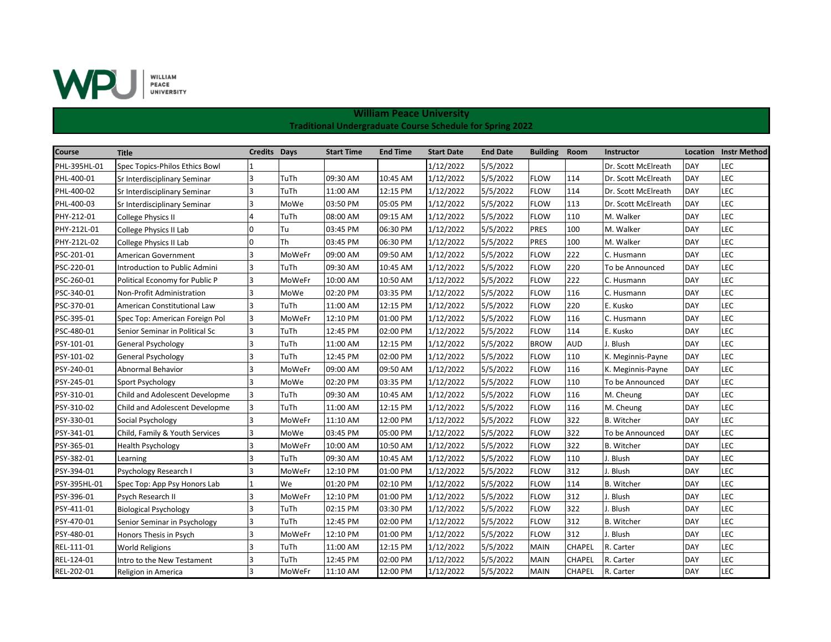

| Course       | <b>Title</b>                   | Credits Days |        | <b>Start Time</b> | <b>End Time</b> | <b>Start Date</b> | <b>End Date</b> | <b>Building</b> | Room          | <b>Instructor</b>   |            | <b>Location</b> Instr Method |
|--------------|--------------------------------|--------------|--------|-------------------|-----------------|-------------------|-----------------|-----------------|---------------|---------------------|------------|------------------------------|
| PHL-395HL-01 | Spec Topics-Philos Ethics Bowl |              |        |                   |                 | 1/12/2022         | 5/5/2022        |                 |               | Dr. Scott McElreath | DAY        | LEC                          |
| PHL-400-01   | Sr Interdisciplinary Seminar   | 3            | TuTh   | 09:30 AM          | 10:45 AM        | 1/12/2022         | 5/5/2022        | <b>FLOW</b>     | 114           | Dr. Scott McElreath | DAY        | LEC                          |
| PHL-400-02   | Sr Interdisciplinary Seminar   | 3            | TuTh   | 11:00 AM          | 12:15 PM        | 1/12/2022         | 5/5/2022        | <b>FLOW</b>     | 114           | Dr. Scott McElreath | <b>DAY</b> | LEC                          |
| PHL-400-03   | Sr Interdisciplinary Seminar   | 3            | MoWe   | 03:50 PM          | 05:05 PM        | 1/12/2022         | 5/5/2022        | <b>FLOW</b>     | 113           | Dr. Scott McElreath | <b>DAY</b> | LEC                          |
| PHY-212-01   | <b>College Physics II</b>      | 4            | TuTh   | 08:00 AM          | 09:15 AM        | 1/12/2022         | 5/5/2022        | <b>FLOW</b>     | 110           | M. Walker           | <b>DAY</b> | LEC                          |
| PHY-212L-01  | College Physics II Lab         | $\Omega$     | Tu     | 03:45 PM          | 06:30 PM        | 1/12/2022         | 5/5/2022        | <b>PRES</b>     | 100           | M. Walker           | DAY        | LEC                          |
| PHY-212L-02  | College Physics II Lab         | 0            | Th     | 03:45 PM          | 06:30 PM        | 1/12/2022         | 5/5/2022        | <b>PRES</b>     | 100           | M. Walker           | DAY        | LEC                          |
| PSC-201-01   | American Government            | 3            | MoWeFr | 09:00 AM          | 09:50 AM        | 1/12/2022         | 5/5/2022        | <b>FLOW</b>     | 222           | C. Husmann          | <b>DAY</b> | LEC                          |
| PSC-220-01   | Introduction to Public Admini  | 3            | TuTh   | 09:30 AM          | 10:45 AM        | 1/12/2022         | 5/5/2022        | <b>FLOW</b>     | 220           | To be Announced     | <b>DAY</b> | LEC                          |
| PSC-260-01   | Political Economy for Public P | 3            | MoWeFr | 10:00 AM          | 10:50 AM        | 1/12/2022         | 5/5/2022        | <b>FLOW</b>     | 222           | C. Husmann          | DAY        | LEC                          |
| PSC-340-01   | Non-Profit Administration      | 3            | MoWe   | 02:20 PM          | 03:35 PM        | 1/12/2022         | 5/5/2022        | <b>FLOW</b>     | 116           | C. Husmann          | <b>DAY</b> | LEC                          |
| PSC-370-01   | American Constitutional Law    | 3            | TuTh   | 11:00 AM          | 12:15 PM        | 1/12/2022         | 5/5/2022        | <b>FLOW</b>     | 220           | E. Kusko            | <b>DAY</b> | LEC                          |
| PSC-395-01   | Spec Top: American Foreign Pol | 3            | MoWeFr | 12:10 PM          | 01:00 PM        | 1/12/2022         | 5/5/2022        | <b>FLOW</b>     | 116           | C. Husmann          | <b>DAY</b> | LEC                          |
| PSC-480-01   | Senior Seminar in Political Sc | 3            | TuTh   | 12:45 PM          | 02:00 PM        | 1/12/2022         | 5/5/2022        | <b>FLOW</b>     | 114           | E. Kusko            | <b>DAY</b> | LEC                          |
| PSY-101-01   | General Psychology             | 3            | TuTh   | 11:00 AM          | 12:15 PM        | 1/12/2022         | 5/5/2022        | <b>BROW</b>     | <b>AUD</b>    | J. Blush            | DAY        | LEC                          |
| PSY-101-02   | <b>General Psychology</b>      | 3            | TuTh   | 12:45 PM          | 02:00 PM        | 1/12/2022         | 5/5/2022        | <b>FLOW</b>     | 110           | K. Meginnis-Payne   | <b>DAY</b> | LEC                          |
| PSY-240-01   | Abnormal Behavior              | 3            | MoWeFr | 09:00 AM          | 09:50 AM        | 1/12/2022         | 5/5/2022        | <b>FLOW</b>     | 116           | K. Meginnis-Payne   | <b>DAY</b> | LEC                          |
| PSY-245-01   | Sport Psychology               | Iз           | MoWe   | 02:20 PM          | 03:35 PM        | 1/12/2022         | 5/5/2022        | <b>FLOW</b>     | 110           | To be Announced     | <b>DAY</b> | LEC                          |
| PSY-310-01   | Child and Adolescent Developme | 3            | TuTh   | 09:30 AM          | 10:45 AM        | 1/12/2022         | 5/5/2022        | <b>FLOW</b>     | 116           | M. Cheung           | DAY        | LEC                          |
| PSY-310-02   | Child and Adolescent Developme | 3            | TuTh   | 11:00 AM          | 12:15 PM        | 1/12/2022         | 5/5/2022        | <b>FLOW</b>     | 116           | M. Cheung           | <b>DAY</b> | LEC                          |
| PSY-330-01   | Social Psychology              | 3            | MoWeFr | 11:10 AM          | 12:00 PM        | 1/12/2022         | 5/5/2022        | <b>FLOW</b>     | 322           | <b>B.</b> Witcher   | <b>DAY</b> | LEC                          |
| PSY-341-01   | Child, Family & Youth Services | 3            | MoWe   | 03:45 PM          | 05:00 PM        | 1/12/2022         | 5/5/2022        | <b>FLOW</b>     | 322           | To be Announced     | <b>DAY</b> | LEC                          |
| PSY-365-01   | <b>Health Psychology</b>       | 3            | MoWeFr | 10:00 AM          | 10:50 AM        | 1/12/2022         | 5/5/2022        | <b>FLOW</b>     | 322           | <b>B.</b> Witcher   | <b>DAY</b> | LEC                          |
| PSY-382-01   | Learning                       | 3            | TuTh   | 09:30 AM          | 10:45 AM        | 1/12/2022         | 5/5/2022        | <b>FLOW</b>     | 110           | J. Blush            | DAY        | LEC                          |
| PSY-394-01   | Psychology Research I          |              | MoWeFr | 12:10 PM          | 01:00 PM        | 1/12/2022         | 5/5/2022        | <b>FLOW</b>     | 312           | J. Blush            | <b>DAY</b> | LEC                          |
| PSY-395HL-01 | Spec Top: App Psy Honors Lab   |              | We     | 01:20 PM          | 02:10 PM        | 1/12/2022         | 5/5/2022        | <b>FLOW</b>     | 114           | <b>B.</b> Witcher   | <b>DAY</b> | LEC                          |
| PSY-396-01   | Psych Research II              | l3           | MoWeFr | 12:10 PM          | 01:00 PM        | 1/12/2022         | 5/5/2022        | <b>FLOW</b>     | 312           | J. Blush            | DAY        | LEC                          |
| PSY-411-01   | <b>Biological Psychology</b>   | 3            | TuTh   | 02:15 PM          | 03:30 PM        | 1/12/2022         | 5/5/2022        | <b>FLOW</b>     | 322           | J. Blush            | DAY        | LEC                          |
| PSY-470-01   | Senior Seminar in Psychology   | 3            | TuTh   | 12:45 PM          | 02:00 PM        | 1/12/2022         | 5/5/2022        | <b>FLOW</b>     | 312           | <b>B.</b> Witcher   | DAY        | LEC                          |
| PSY-480-01   | Honors Thesis in Psych         | 3            | MoWeFr | 12:10 PM          | 01:00 PM        | 1/12/2022         | 5/5/2022        | <b>FLOW</b>     | 312           | J. Blush            | <b>DAY</b> | LEC                          |
| REL-111-01   | <b>World Religions</b>         | 3            | TuTh   | 11:00 AM          | 12:15 PM        | 1/12/2022         | 5/5/2022        | <b>MAIN</b>     | CHAPEL        | R. Carter           | <b>DAY</b> | LEC                          |
| REL-124-01   | Intro to the New Testament     |              | TuTh   | 12:45 PM          | 02:00 PM        | 1/12/2022         | 5/5/2022        | <b>MAIN</b>     | <b>CHAPEL</b> | R. Carter           | <b>DAY</b> | LEC                          |
| REL-202-01   | Religion in America            | Iз           | MoWeFr | 11:10 AM          | 12:00 PM        | 1/12/2022         | 5/5/2022        | <b>MAIN</b>     | <b>CHAPEL</b> | R. Carter           | <b>DAY</b> | LEC                          |